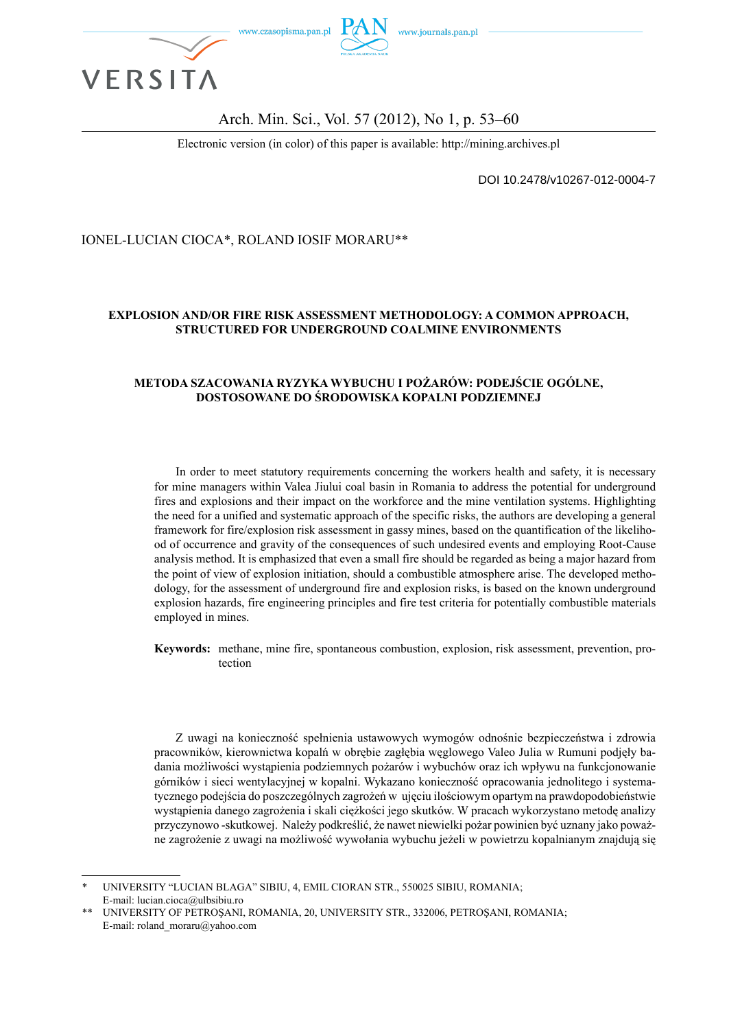

#### Arch. Min. Sci., Vol. 57 (2012), No 1, p. 53–60

Electronic version (in color) of this paper is available: http://mining.archives.pl

DOI 10.2478/v10267-012-0004-7

#### IONEL-LUCIAN CIOCA\*, ROLAND IOSIF MORARU\*\*

#### **EXPLOSION AND/OR FIRE RISK ASSESSMENT METHODOLOGY: A COMMON APPROACH, STRUCTURED FOR UNDERGROUND COALMINE ENVIRONMENTS**

#### **METODA SZACOWANIA RYZYKA WYBUCHU I POŻARÓW: PODEJŚCIE OGÓLNE, DOSTOSOWANE DO ŚRODOWISKA KOPALNI PODZIEMNEJ**

In order to meet statutory requirements concerning the workers health and safety, it is necessary for mine managers within Valea Jiului coal basin in Romania to address the potential for underground fires and explosions and their impact on the workforce and the mine ventilation systems. Highlighting the need for a unified and systematic approach of the specific risks, the authors are developing a general framework for fire/explosion risk assessment in gassy mines, based on the quantification of the likelihood of occurrence and gravity of the consequences of such undesired events and employing Root-Cause analysis method. It is emphasized that even a small fire should be regarded as being a major hazard from the point of view of explosion initiation, should a combustible atmosphere arise. The developed methodology, for the assessment of underground fire and explosion risks, is based on the known underground explosion hazards, fire engineering principles and fire test criteria for potentially combustible materials employed in mines.

**Keywords:** methane, mine fire, spontaneous combustion, explosion, risk assessment, prevention, protection

Z uwagi na konieczność spełnienia ustawowych wymogów odnośnie bezpieczeństwa i zdrowia pracowników, kierownictwa kopalń w obrębie zagłębia węglowego Valeo Julia w Rumuni podjęły badania możliwości wystąpienia podziemnych pożarów i wybuchów oraz ich wpływu na funkcjonowanie górników i sieci wentylacyjnej w kopalni. Wykazano konieczność opracowania jednolitego i systematycznego podejścia do poszczególnych zagrożeń w ujęciu ilościowym opartym na prawdopodobieństwie wystąpienia danego zagrożenia i skali ciężkości jego skutków. W pracach wykorzystano metodę analizy przyczynowo -skutkowej. Należy podkreślić, że nawet niewielki pożar powinien być uznany jako poważne zagrożenie z uwagi na możliwość wywołania wybuchu jeżeli w powietrzu kopalnianym znajdują się

*<sup>\*</sup>* UNIVERSITY "LUCIAN BLAGA" SIBIU, 4, EMIL CIORAN STR., 550025 SIBIU, ROMANIA; E-mail: lucian.cioca@ulbsibiu.ro

*<sup>\*\*</sup>* UNIVERSITY OF PETROŞANI, ROMANIA, 20, UNIVERSITY STR., 332006, PETROŞANI, ROMANIA; E-mail: roland\_moraru@yahoo.com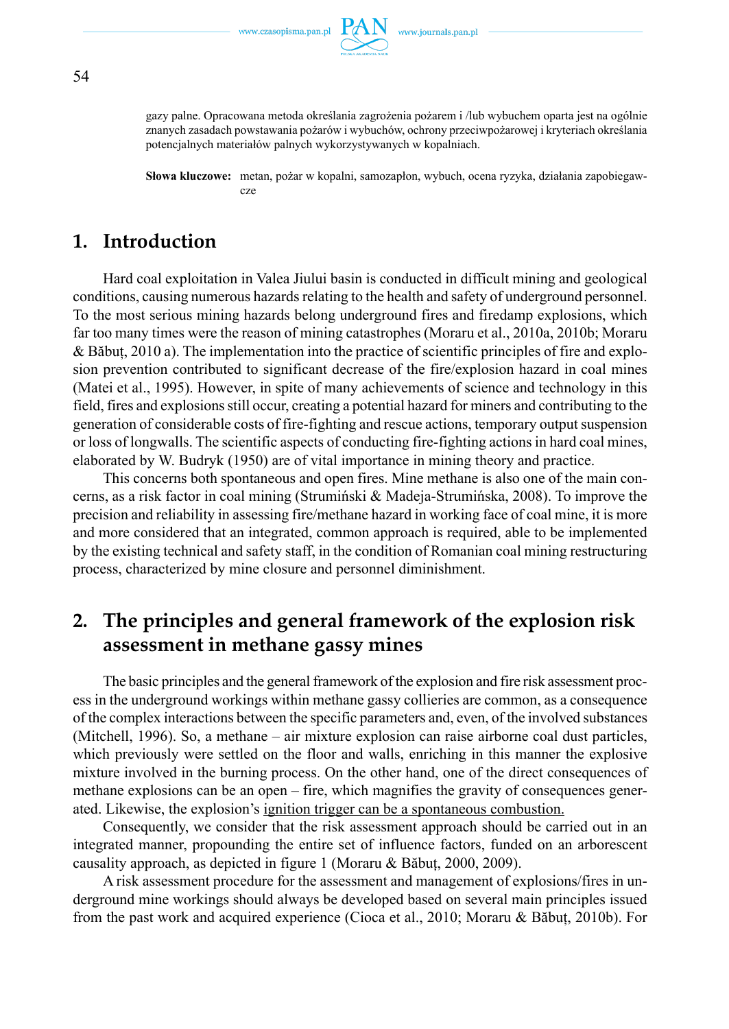

gazy palne. Opracowana metoda określania zagrożenia pożarem i /lub wybuchem oparta jest na ogólnie znanych zasadach powstawania pożarów i wybuchów, ochrony przeciwpożarowej i kryteriach określania potencjalnych materiałów palnych wykorzystywanych w kopalniach.

**Słowa kluczowe:** metan, pożar w kopalni, samozapłon, wybuch, ocena ryzyka, działania zapobiegawcze

## **1. Introduction**

Hard coal exploitation in Valea Jiului basin is conducted in difficult mining and geological conditions, causing numerous hazards relating to the health and safety of underground personnel. To the most serious mining hazards belong underground fires and firedamp explosions, which far too many times were the reason of mining catastrophes (Moraru et al., 2010a, 2010b; Moraru & Băbuţ, 2010 a). The implementation into the practice of scientific principles of fire and explosion prevention contributed to significant decrease of the fire/explosion hazard in coal mines (Matei et al., 1995). However, in spite of many achievements of science and technology in this field, fires and explosions still occur, creating a potential hazard for miners and contributing to the generation of considerable costs of fire-fighting and rescue actions, temporary output suspension or loss of longwalls. The scientific aspects of conducting fire-fighting actions in hard coal mines, elaborated by W. Budryk (1950) are of vital importance in mining theory and practice.

This concerns both spontaneous and open fires. Mine methane is also one of the main concerns, as a risk factor in coal mining (Strumiński & Madeja-Strumińska, 2008). To improve the precision and reliability in assessing fire/methane hazard in working face of coal mine, it is more and more considered that an integrated, common approach is required, able to be implemented by the existing technical and safety staff, in the condition of Romanian coal mining restructuring process, characterized by mine closure and personnel diminishment.

# **2. The principles and general framework of the explosion risk assessment in methane gassy mines**

The basic principles and the general framework of the explosion and fire risk assessment process in the underground workings within methane gassy collieries are common, as a consequence of the complex interactions between the specific parameters and, even, of the involved substances (Mitchell, 1996). So, a methane – air mixture explosion can raise airborne coal dust particles, which previously were settled on the floor and walls, enriching in this manner the explosive mixture involved in the burning process. On the other hand, one of the direct consequences of methane explosions can be an open – fire, which magnifies the gravity of consequences generated. Likewise, the explosion's ignition trigger can be a spontaneous combustion.

Consequently, we consider that the risk assessment approach should be carried out in an integrated manner, propounding the entire set of influence factors, funded on an arborescent causality approach, as depicted in figure 1 (Moraru & Băbuţ, 2000, 2009).

A risk assessment procedure for the assessment and management of explosions/fires in underground mine workings should always be developed based on several main principles issued from the past work and acquired experience (Cioca et al., 2010; Moraru & Băbuţ, 2010b). For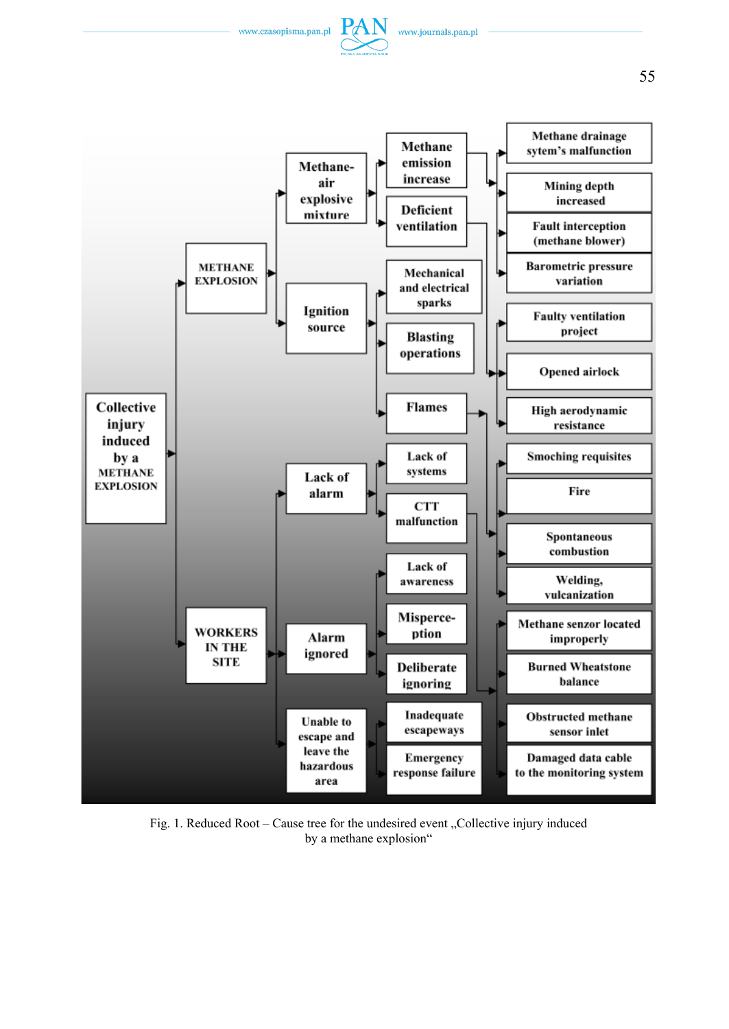www.czasopisma.pan.pl





Fig. 1. Reduced Root – Cause tree for the undesired event "Collective injury induced by a methane explosion"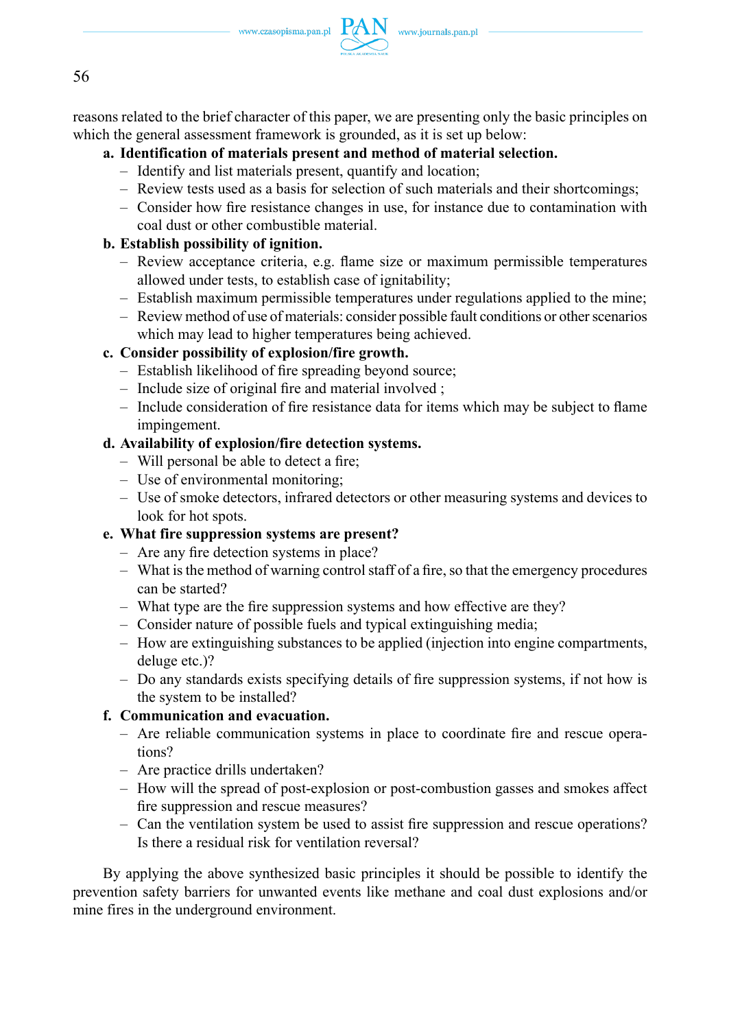

reasons related to the brief character of this paper, we are presenting only the basic principles on which the general assessment framework is grounded, as it is set up below:

## **a. Identification of materials present and method of material selection.**

- Identify and list materials present, quantify and location;
- Review tests used as a basis for selection of such materials and their shortcomings;
- $-$  Consider how fire resistance changes in use, for instance due to contamination with coal dust or other combustible material.

#### **b. Establish possibility of ignition.**

- $-$  Review acceptance criteria, e.g. flame size or maximum permissible temperatures allowed under tests, to establish case of ignitability;
- Establish maximum permissible temperatures under regulations applied to the mine;
- Review method of use of materials: consider possible fault conditions or other scenarios which may lead to higher temperatures being achieved.

## **c. Consider possibility of explosion/fire growth.**

- Establish likelihood of fire spreading beyond source:
- $-$  Include size of original fire and material involved :
- $-$  Include consideration of fire resistance data for items which may be subject to flame impingement.

## **d. Availability of explosion/fire detection systems.**

- $-$  Will personal be able to detect a fire;
- Use of environmental monitoring;
- Use of smoke detectors, infrared detectors or other measuring systems and devices to look for hot spots.

## **e. What fire suppression systems are present?**

- $-$  Are any fire detection systems in place?
- $-$  What is the method of warning control staff of a fire, so that the emergency procedures can be started?
- $-$  What type are the fire suppression systems and how effective are they?
- Consider nature of possible fuels and typical extinguishing media;
- How are extinguishing substances to be applied (injection into engine compartments, deluge etc.)?
- Do any standards exists specifying details of fire suppression systems, if not how is the system to be installed?

## **f. Communication and evacuation.**

- $-$  Are reliable communication systems in place to coordinate fire and rescue operations?
- Are practice drills undertaken?
- How will the spread of post-explosion or post-combustion gasses and smokes affect fire suppression and rescue measures?
- $-$  Can the ventilation system be used to assist fire suppression and rescue operations? Is there a residual risk for ventilation reversal?

By applying the above synthesized basic principles it should be possible to identify the prevention safety barriers for unwanted events like methane and coal dust explosions and/or mine fires in the underground environment.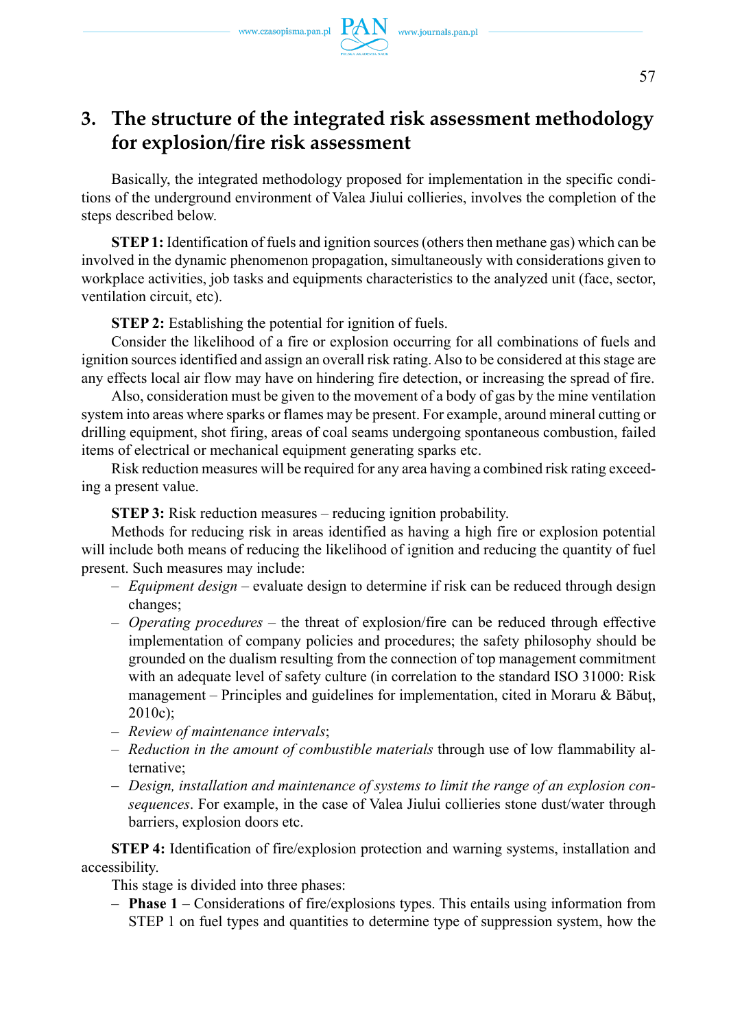# **3. The structure of the integrated risk assessment methodology for explosion/fire risk assessment**

Basically, the integrated methodology proposed for implementation in the specific conditions of the underground environment of Valea Jiului collieries, involves the completion of the steps described below.

**STEP 1:** Identification of fuels and ignition sources (others then methane gas) which can be involved in the dynamic phenomenon propagation, simultaneously with considerations given to workplace activities, job tasks and equipments characteristics to the analyzed unit (face, sector, ventilation circuit, etc).

**STEP 2:** Establishing the potential for ignition of fuels.

Consider the likelihood of a fire or explosion occurring for all combinations of fuels and ignition sources identified and assign an overall risk rating. Also to be considered at this stage are any effects local air flow may have on hindering fire detection, or increasing the spread of fire.

Also, consideration must be given to the movement of a body of gas by the mine ventilation system into areas where sparks or flames may be present. For example, around mineral cutting or drilling equipment, shot firing, areas of coal seams undergoing spontaneous combustion, failed items of electrical or mechanical equipment generating sparks etc.

Risk reduction measures will be required for any area having a combined risk rating exceeding a present value.

**STEP 3:** Risk reduction measures – reducing ignition probability.

Methods for reducing risk in areas identified as having a high fire or explosion potential will include both means of reducing the likelihood of ignition and reducing the quantity of fuel present. Such measures may include:

- – *Equipment design* evaluate design to determine if risk can be reduced through design changes;
- – *Operating procedures* the threat of explosion/fire can be reduced through effective implementation of company policies and procedures; the safety philosophy should be grounded on the dualism resulting from the connection of top management commitment with an adequate level of safety culture (in correlation to the standard ISO 31000: Risk management – Principles and guidelines for implementation, cited in Moraru & Băbuţ, 2010c);
- – *Review of maintenance intervals*;
- – *Reduction in the amount of combustible materials* through use of low flammability alternative;
- – *Design, installation and maintenance of systems to limit the range of an explosion consequences*. For example, in the case of Valea Jiului collieries stone dust/water through barriers, explosion doors etc.

**STEP 4:** Identification of fire/explosion protection and warning systems, installation and accessibility.

This stage is divided into three phases:

– **Phase 1** – Considerations of fire/explosions types. This entails using information from STEP 1 on fuel types and quantities to determine type of suppression system, how the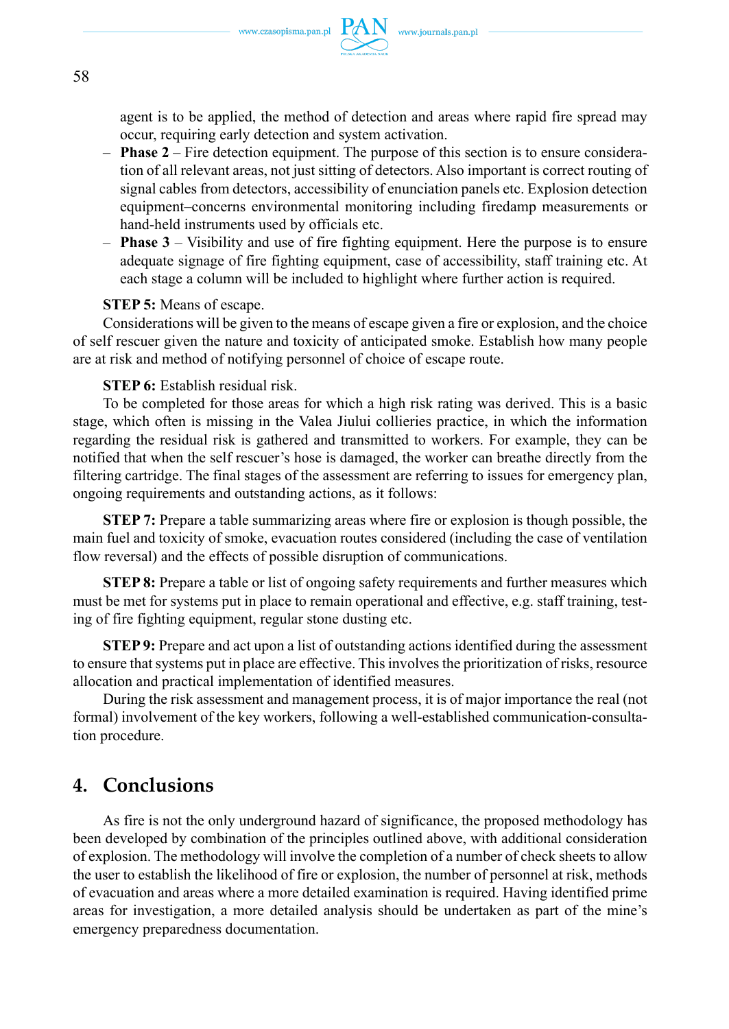

agent is to be applied, the method of detection and areas where rapid fire spread may occur, requiring early detection and system activation.

- – **Phase 2** Fire detection equipment. The purpose of this section is to ensure consideration of all relevant areas, not just sitting of detectors. Also important is correct routing of signal cables from detectors, accessibility of enunciation panels etc. Explosion detection equipment–concerns environmental monitoring including firedamp measurements or hand-held instruments used by officials etc.
- – **Phase 3** Visibility and use of fire fighting equipment. Here the purpose is to ensure adequate signage of fire fighting equipment, case of accessibility, staff training etc. At each stage a column will be included to highlight where further action is required.

**STEP 5:** Means of escape.

Considerations will be given to the means of escape given a fire or explosion, and the choice of self rescuer given the nature and toxicity of anticipated smoke. Establish how many people are at risk and method of notifying personnel of choice of escape route.

**STEP 6:** Establish residual risk.

To be completed for those areas for which a high risk rating was derived. This is a basic stage, which often is missing in the Valea Jiului collieries practice, in which the information regarding the residual risk is gathered and transmitted to workers. For example, they can be notified that when the self rescuer's hose is damaged, the worker can breathe directly from the filtering cartridge. The final stages of the assessment are referring to issues for emergency plan, ongoing requirements and outstanding actions, as it follows:

**STEP 7:** Prepare a table summarizing areas where fire or explosion is though possible, the main fuel and toxicity of smoke, evacuation routes considered (including the case of ventilation flow reversal) and the effects of possible disruption of communications.

**STEP 8:** Prepare a table or list of ongoing safety requirements and further measures which must be met for systems put in place to remain operational and effective, e.g. staff training, testing of fire fighting equipment, regular stone dusting etc.

**STEP 9:** Prepare and act upon a list of outstanding actions identified during the assessment to ensure that systems put in place are effective. This involves the prioritization of risks, resource allocation and practical implementation of identified measures.

During the risk assessment and management process, it is of major importance the real (not formal) involvement of the key workers, following a well-established communication-consultation procedure.

## **4. Conclusions**

As fire is not the only underground hazard of significance, the proposed methodology has been developed by combination of the principles outlined above, with additional consideration of explosion. The methodology will involve the completion of a number of check sheets to allow the user to establish the likelihood of fire or explosion, the number of personnel at risk, methods of evacuation and areas where a more detailed examination is required. Having identified prime areas for investigation, a more detailed analysis should be undertaken as part of the mine's emergency preparedness documentation.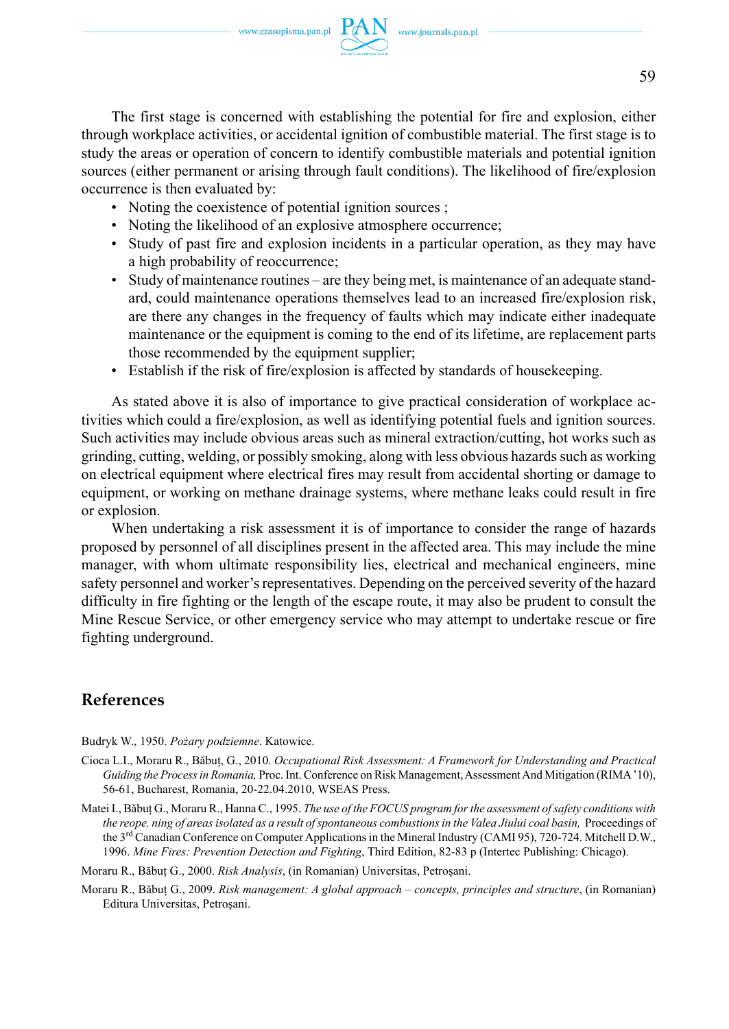www.czasopisma.pan.pl  $PA$ 



The first stage is concerned with establishing the potential for fire and explosion, either through workplace activities, or accidental ignition of combustible material. The first stage is to study the areas or operation of concern to identify combustible materials and potential ignition sources (either permanent or arising through fault conditions). The likelihood of fire/explosion occurrence is then evaluated by:

- Noting the coexistence of potential ignition sources ;
- Noting the likelihood of an explosive atmosphere occurrence;
- Study of past fire and explosion incidents in a particular operation, as they may have a high probability of reoccurrence;
- Study of maintenance routines are they being met, is maintenance of an adequate standard, could maintenance operations themselves lead to an increased fire/explosion risk, are there any changes in the frequency of faults which may indicate either inadequate maintenance or the equipment is coming to the end of its lifetime, are replacement parts those recommended by the equipment supplier;
- Establish if the risk of fire/explosion is affected by standards of housekeeping.

As stated above it is also of importance to give practical consideration of workplace activities which could a fire/explosion, as well as identifying potential fuels and ignition sources. Such activities may include obvious areas such as mineral extraction/cutting, hot works such as grinding, cutting, welding, or possibly smoking, along with less obvious hazards such as working on electrical equipment where electrical fires may result from accidental shorting or damage to equipment, or working on methane drainage systems, where methane leaks could result in fire or explosion.

When undertaking a risk assessment it is of importance to consider the range of hazards proposed by personnel of all disciplines present in the affected area. This may include the mine manager, with whom ultimate responsibility lies, electrical and mechanical engineers, mine safety personnel and worker's representatives. Depending on the perceived severity of the hazard difficulty in fire fighting or the length of the escape route, it may also be prudent to consult the Mine Rescue Service, or other emergency service who may attempt to undertake rescue or fire fighting underground.

## **References**

- Budryk W., 1950. *Pożary podziemne*. Katowice.
- Cioca L.I., Moraru R., Băbuţ, G., 2010. *Occupational Risk Assessment: A Framework for Understanding and Practical Guiding the Process in Romania,* Proc. Int. Conference on Risk Management, Assessment And Mitigation (RIMA '10), 56-61, Bucharest, Romania, 20-22.04.2010, WSEAS Press.
- Matei I., Bǎbuţ G., Moraru R., Hanna C., 1995. *The use of the FOCUS program for the assessment of safety conditions with the reope. ning of areas isolated as a result of spontaneous combustions in the Valea Jiului coal basin, Proceedings of* the 3<sup>rd</sup> Canadian Conference on Computer Applications in the Mineral Industry (CAMI 95), 720-724. Mitchell D.W., 1996. *Mine Fires: Prevention Detection and Fighting*, Third Edition, 82-83 p (Intertec Publishing: Chicago).

Moraru R., Băbuţ G., 2000. *Risk Analysis*, (in Romanian) Universitas, Petroşani.

Moraru R., Băbuţ G., 2009. *Risk management: A global approach – concepts, principles and structure*, (in Romanian) Editura Universitas, Petroşani.